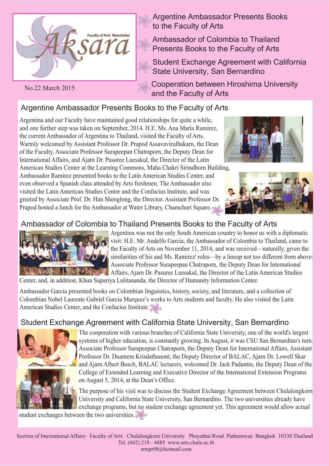

No.22 March 2015

Argentine Ambassador Presents Books to the Faculty of Arts

Ambassador of Colombia to Thailand Presents Books to the Faculty of Arts

Student Exchange Agreement with California State University, San Bernardino

Cooperation between Hiroshima University and the Faculty of Arts

# Argentine Ambassador Presents Books to the Faculty of Arts

Argentina and our Faculty have maintained good relationships for quite a while, and one further step was taken on September, 2014. H.E. Ms. Ana Maria Ramirez, the current Ambassador of Argentina to Thailand, visited the Faculty of Arts. Warmly welcomed by Assistant Professor Dr. Prapod Assavavirulhakarn, the Dean of the Faculty, Associate Professor Surapeepan Chatraporn, the Deputy Dean for International Affairs, and Ajarn Dr. Pasuree Luesakul, the Director of the Latin

American Studies Center at the Learning Commons, Maha Chakri Sirindhorn Building, Ambassador Ramirez presented books to the Latin American Studies Center, and even observed a Spanish class attended by Arts freshmen. The Ambassador also visited the Latin American Studies Center and the Confucius Institute, and was greeted by Associate Prof. Dr. Han Shenglong, the Director. Assistant Professor Dr. Prapod hosted a lunch for the Ambassador at Water Library, Chamchuri Square.





### Ambassador of Colombia to Thailand Presents Books to the Faculty of Arts



Argentina was not the only South American country to honor us with a diplomatic visit: H.E. Mr. Andelfo Garcia, the Ambassador of Colombia to Thailand, came to the Faculty of Arts on November 11, 2014, and was received—naturally, given the similarities of his and Ms. Ramirez' roles—by a lineup not too different from above: Associate Professor Surapeepan Chatraporn, the Deputy Dean for International Affairs, Ajarn Dr. Pasuree Luesakul, the Director of the Latin American Studies

Center, and, in addition, Khun Supariya Lulitananda, the Director of Humanity Information Center.

Ambassador Garcia presented books on Colombian linguistics, history, society, and literature, and a collection of Colombian Nobel Laureate Gabriel Garcia Marquez's works to Arts students and faculty. He also visited the Latin American Studies Center, and the Confucius Institute.

## Student Exchange Agreement with California State University, San Bernardino



The cooperation with various branches of California State University, one of the world's largest systems of higher education, is constantly growing. In August, it was CSU San Bernardino's turn. Associate Professor Surapeepan Chatraporn, the Deputy Dean for International Affairs, Assistant Professor Dr. Duantem Krisdathanont, the Deputy Director of BALAC, Ajarn Dr. Lowell Skar and Ajarn Albert Bosch, BALAC lecturers, welcomed Dr. Jack Paduntin, the Deputy Dean of the College of Extended Learning and Executive Director of the International Extension Programs on August 5, 2014, at the Dean's Office.

The purpose of his visit was to discuss the Student Exchange Agreement between Chulalongkorn University and California State University, San Bernardino. The two universities already have exchange programs, but no student exchange agreement yet. This agreement would allow actual

student exchanges between the two universities.

Section of International Affairs Faculty of Arts Chulalongkorn University Phayathai Road Pathumwan Bangkok 10330 Thailand Tel. (662) 218 - 4885 www.arts.chula.ac.th artspr08@hotmail.com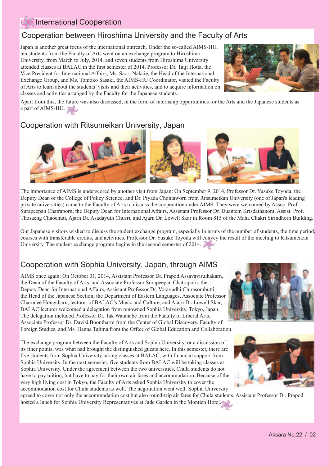#### International Cooperation

### Cooperation between Hiroshima University and the Faculty of Arts

Japan is another great focus of the international outreach. Under the so-called AIMS-HU, ten students from the Faculty of Arts went on an exchange program to Hiroshima University, from March to July, 2014, and seven students from Hiroshima University attended classes at BALAC in the first semester of 2014. Professor Dr. Taiji Hotta, the Vice President for International Affairs, Ms. Saori Nakaie, the Head of the International Exchange Group, and Ms. Tomoko Sasaki, the AIMS-HU Coordinator, visited the Faculty of Arts to learn about the students' visits and their activities, and to acquire information on classes and activities arranged by the Faculty for the Japanese students.



Apart from this, the future was also discussed, in the form of internship opportunities for the Arts and the Japanese students as a part of AIMS-HU.

## Cooperation with Ritsumeikan University, Japan



The importance of AIMS is underscored by another visit from Japan: On September 9, 2014, Professor Dr. Yusuke Toyoda, the Deputy Dean of the College of Policy Science, and Dr. Piyada Chonlaworn from Ritsumeikan University (one of Japan's leading private universities) came to the Faculty of Arts to discuss the cooperation under AIMS. They were welcomed by Assoc. Prof. Surapeepan Chatraporn, the Deputy Dean for International Affairs, Assistant Professor Dr. Duantem Krisdathanont, Assist. Prof. Thosaeng Chaochuti, Ajarn Dr. Asadayuth Chusri, and Ajarn Dr. Lowell Skar in Room 815 of the Maha Chakri Sirindhorn Building.

Our Japanese visitors wished to discuss the student exchange program, especially in terms of the number of students, the time period, courses with transferable credits, and activities. Professor Dr. Yusuke Toyoda will convey the result of the meeting to Ritsumeikan University. The student exchange program begins in the second semester of 2014.

### Cooperation with Sophia University, Japan, through AIMS

AIMS once again: On October 31, 2014, Assistant Professor Dr. Prapod Assavavirulhakarn, the Dean of the Faculty of Arts, and Associate Professor Surapeepan Chatraporn, the Deputy Dean for International Affairs, Assistant Professor Dr. Voravudhi Chirasombutti, the Head of the Japanese Section, the Department of Eastern Languages, Associate Professor Charunee Hongcharu, lecturer of BALAC's Music and Culture, and Ajarn Dr. Lowell Skar, BALAC lecturer welcomed a delegation from renowned Sophia University, Tokyo, Japan. The delegation included Professor Dr. Tak Watanabe from the Faculty of Liberal Arts, Associate Professor Dr. Davisi Boontharm from the Center of Global Discovery, Faculty of Foreign Studies, and Ms. Hanna Tajima from the Office of Global Education and Collaboration.

The exchange program between the Faculty of Arts and Sophia University, or a discussion of its finer points, was what had brought the distinguished guests here. In this semester, there are five students from Sophia University taking classes at BALAC, with financial support from Sophia University. In the next semester, five students from BALAC will be taking classes at Sophia University. Under the agreement between the two universities, Chula students do not have to pay tuition, but have to pay for their own air fares and accommodation. Because of the very high living cost in Tokyo, the Faculty of Arts asked Sophia University to cover the accommodation cost for Chula students as well. The negotiation went well: Sophia University





agreed to cover not only the accommodation cost but also round-trip air fares for Chula students. Assistant Professor Dr. Prapod hosted a lunch for Sophia University Representatives at Jade Garden in the Montien Hotel.